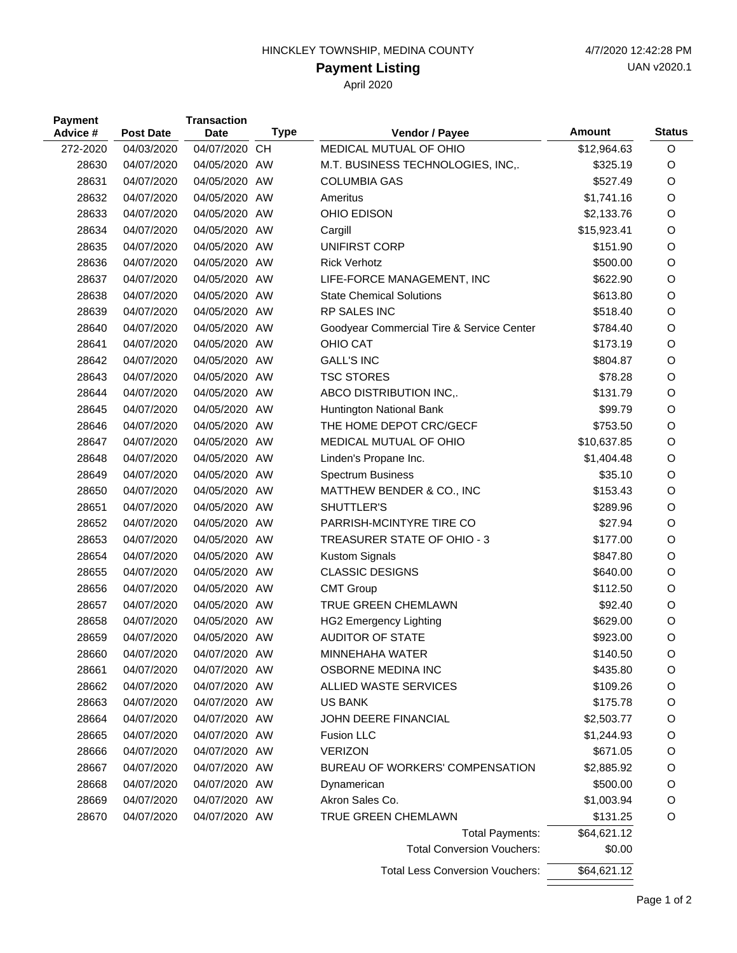## **Payment Listing**

April 2020

| <b>Payment</b><br>Advice # | <b>Post Date</b> | <b>Transaction</b><br><b>Date</b> | <b>Type</b> | Vendor / Payee                            | <b>Amount</b> | <b>Status</b> |
|----------------------------|------------------|-----------------------------------|-------------|-------------------------------------------|---------------|---------------|
| 272-2020                   | 04/03/2020       | 04/07/2020                        | <b>CH</b>   | MEDICAL MUTUAL OF OHIO                    | \$12,964.63   | O             |
| 28630                      | 04/07/2020       | 04/05/2020 AW                     |             | M.T. BUSINESS TECHNOLOGIES, INC,.         | \$325.19      | O             |
| 28631                      | 04/07/2020       | 04/05/2020 AW                     |             | <b>COLUMBIA GAS</b>                       | \$527.49      | O             |
| 28632                      | 04/07/2020       | 04/05/2020 AW                     |             | Ameritus                                  | \$1,741.16    | O             |
| 28633                      | 04/07/2020       | 04/05/2020 AW                     |             | OHIO EDISON                               | \$2,133.76    | O             |
| 28634                      | 04/07/2020       | 04/05/2020 AW                     |             | Cargill                                   | \$15,923.41   | O             |
| 28635                      | 04/07/2020       | 04/05/2020 AW                     |             | UNIFIRST CORP                             | \$151.90      | O             |
| 28636                      | 04/07/2020       | 04/05/2020 AW                     |             | <b>Rick Verhotz</b>                       | \$500.00      | O             |
| 28637                      | 04/07/2020       | 04/05/2020 AW                     |             | LIFE-FORCE MANAGEMENT, INC                | \$622.90      | O             |
| 28638                      | 04/07/2020       | 04/05/2020 AW                     |             | <b>State Chemical Solutions</b>           | \$613.80      | O             |
| 28639                      | 04/07/2020       | 04/05/2020 AW                     |             | RP SALES INC                              | \$518.40      | O             |
| 28640                      | 04/07/2020       | 04/05/2020 AW                     |             | Goodyear Commercial Tire & Service Center | \$784.40      | O             |
| 28641                      | 04/07/2020       | 04/05/2020 AW                     |             | <b>OHIO CAT</b>                           | \$173.19      | O             |
| 28642                      | 04/07/2020       | 04/05/2020 AW                     |             | <b>GALL'S INC</b>                         | \$804.87      | O             |
| 28643                      | 04/07/2020       | 04/05/2020 AW                     |             | <b>TSC STORES</b>                         | \$78.28       | O             |
| 28644                      | 04/07/2020       | 04/05/2020 AW                     |             | ABCO DISTRIBUTION INC,.                   | \$131.79      | O             |
| 28645                      | 04/07/2020       | 04/05/2020 AW                     |             | Huntington National Bank                  | \$99.79       | O             |
| 28646                      | 04/07/2020       | 04/05/2020 AW                     |             | THE HOME DEPOT CRC/GECF                   | \$753.50      | O             |
| 28647                      | 04/07/2020       | 04/05/2020 AW                     |             | MEDICAL MUTUAL OF OHIO                    | \$10,637.85   | O             |
| 28648                      | 04/07/2020       | 04/05/2020 AW                     |             | Linden's Propane Inc.                     | \$1,404.48    | O             |
| 28649                      | 04/07/2020       | 04/05/2020 AW                     |             | <b>Spectrum Business</b>                  | \$35.10       | O             |
| 28650                      | 04/07/2020       | 04/05/2020 AW                     |             | MATTHEW BENDER & CO., INC                 | \$153.43      | O             |
| 28651                      | 04/07/2020       | 04/05/2020 AW                     |             | SHUTTLER'S                                | \$289.96      | O             |
| 28652                      | 04/07/2020       | 04/05/2020 AW                     |             | PARRISH-MCINTYRE TIRE CO                  | \$27.94       | O             |
| 28653                      | 04/07/2020       | 04/05/2020 AW                     |             | TREASURER STATE OF OHIO - 3               | \$177.00      | O             |
| 28654                      | 04/07/2020       | 04/05/2020 AW                     |             | Kustom Signals                            | \$847.80      | O             |
| 28655                      | 04/07/2020       | 04/05/2020 AW                     |             | <b>CLASSIC DESIGNS</b>                    | \$640.00      | O             |
| 28656                      | 04/07/2020       | 04/05/2020 AW                     |             | <b>CMT Group</b>                          | \$112.50      | O             |
| 28657                      | 04/07/2020       | 04/05/2020 AW                     |             | TRUE GREEN CHEMLAWN                       | \$92.40       | O             |
| 28658                      | 04/07/2020       | 04/05/2020 AW                     |             | <b>HG2 Emergency Lighting</b>             | \$629.00      | O             |
| 28659                      | 04/07/2020       | 04/05/2020 AW                     |             | <b>AUDITOR OF STATE</b>                   | \$923.00      | O             |
| 28660                      | 04/07/2020       | 04/07/2020 AW                     |             | MINNEHAHA WATER                           | \$140.50      | O             |
| 28661                      | 04/07/2020       | 04/07/2020 AW                     |             | OSBORNE MEDINA INC                        | \$435.80      | O             |
| 28662                      | 04/07/2020       | 04/07/2020 AW                     |             | ALLIED WASTE SERVICES                     | \$109.26      | O             |
| 28663                      | 04/07/2020       | 04/07/2020 AW                     |             | <b>US BANK</b>                            | \$175.78      | O             |
| 28664                      | 04/07/2020       | 04/07/2020 AW                     |             | JOHN DEERE FINANCIAL                      | \$2,503.77    | O             |
| 28665                      | 04/07/2020       | 04/07/2020 AW                     |             | Fusion LLC                                | \$1,244.93    | O             |
| 28666                      | 04/07/2020       | 04/07/2020 AW                     |             | <b>VERIZON</b>                            | \$671.05      | O             |
| 28667                      | 04/07/2020       | 04/07/2020 AW                     |             | BUREAU OF WORKERS' COMPENSATION           | \$2,885.92    | O             |
| 28668                      | 04/07/2020       | 04/07/2020 AW                     |             | Dynamerican                               | \$500.00      | O             |
| 28669                      | 04/07/2020       | 04/07/2020 AW                     |             | Akron Sales Co.                           | \$1,003.94    | O             |
| 28670                      | 04/07/2020       | 04/07/2020 AW                     |             | TRUE GREEN CHEMLAWN                       | \$131.25      | O             |
|                            |                  |                                   |             | <b>Total Payments:</b>                    | \$64,621.12   |               |
|                            |                  |                                   |             | <b>Total Conversion Vouchers:</b>         | \$0.00        |               |
|                            |                  |                                   |             | <b>Total Less Conversion Vouchers:</b>    | \$64,621.12   |               |